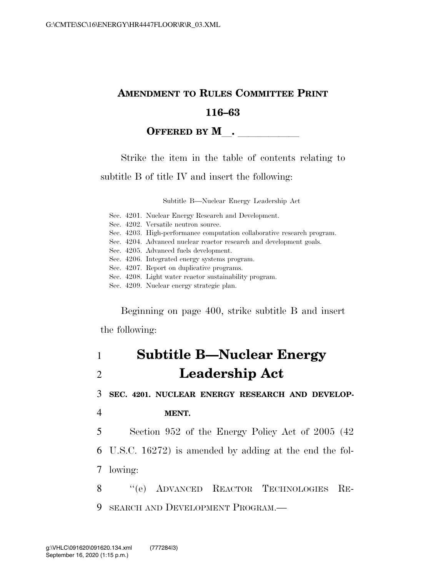## **AMENDMENT TO RULES COMMITTEE PRINT 116–63**

#### **OFFERED BY M**.

Strike the item in the table of contents relating to

subtitle B of title IV and insert the following:

Subtitle B—Nuclear Energy Leadership Act

|  | Sec. 4201. Nuclear Energy Research and Development.                     |
|--|-------------------------------------------------------------------------|
|  | Sec. 4202. Versatile neutron source.                                    |
|  | Sec. 4203. High-performance computation collaborative research program. |
|  | Sec. 4204. Advanced nuclear reactor research and development goals.     |
|  | Sec. 4205. Advanced fuels development.                                  |
|  | Sec. 4206. Integrated energy systems program.                           |
|  | Sec. 4207. Report on duplicative programs.                              |
|  | Sec. 4208. Light water reactor sustainability program.                  |
|  | Sec. 4209. Nuclear energy strategic plan.                               |
|  |                                                                         |

Beginning on page 400, strike subtitle B and insert

the following:

# 1 **Subtitle B—Nuclear Energy**  2 **Leadership Act**

3 **SEC. 4201. NUCLEAR ENERGY RESEARCH AND DEVELOP-**

4 **MENT.** 

5 Section 952 of the Energy Policy Act of 2005 (42

6 U.S.C. 16272) is amended by adding at the end the fol-7 lowing:

8 "(e) ADVANCED REACTOR TECHNOLOGIES RE-9 SEARCH AND DEVELOPMENT PROGRAM.—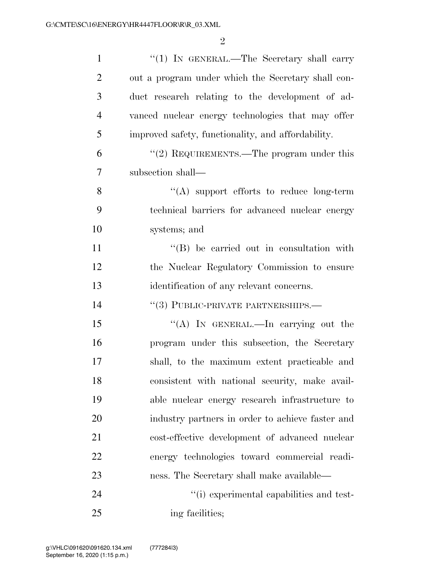| $\mathbf{1}$   | "(1) IN GENERAL.—The Secretary shall carry         |
|----------------|----------------------------------------------------|
| $\overline{2}$ | out a program under which the Secretary shall con- |
| 3              | duct research relating to the development of ad-   |
| $\overline{4}$ | vanced nuclear energy technologies that may offer  |
| 5              | improved safety, functionality, and affordability. |
| 6              | "(2) REQUIREMENTS.—The program under this          |
| 7              | subsection shall—                                  |
| 8              | "(A) support efforts to reduce long-term           |
| 9              | technical barriers for advanced nuclear energy     |
| 10             | systems; and                                       |
| 11             | "(B) be carried out in consultation with           |
| 12             | the Nuclear Regulatory Commission to ensure        |
| 13             | identification of any relevant concerns.           |
| 14             | "(3) PUBLIC-PRIVATE PARTNERSHIPS.—                 |
| 15             | "(A) In GENERAL.—In carrying out the               |
| 16             | program under this subsection, the Secretary       |
| 17             | shall, to the maximum extent practicable and       |
| 18             | consistent with national security, make avail-     |
| 19             | able nuclear energy research infrastructure to     |
| 20             | industry partners in order to achieve faster and   |
| 21             | cost-effective development of advanced nuclear     |
| <u>22</u>      | energy technologies toward commercial readi-       |
| 23             | ness. The Secretary shall make available—          |
| 24             | "(i) experimental capabilities and test-           |
| 25             | ing facilities;                                    |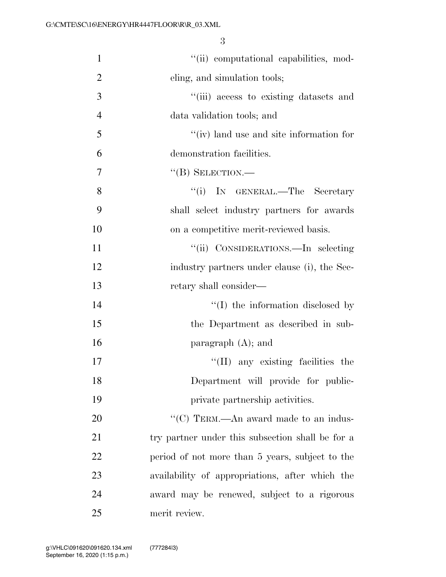| $\mathbf{1}$   | "(ii) computational capabilities, mod-           |
|----------------|--------------------------------------------------|
| $\overline{2}$ | eling, and simulation tools;                     |
| 3              | "(iii) access to existing datasets and           |
| $\overline{4}$ | data validation tools; and                       |
| 5              | $\lq\lq$ (iv) land use and site information for  |
| 6              | demonstration facilities.                        |
| 7              | $\lq\lq (B)$ SELECTION.—                         |
| 8              | ``(i)<br>IN GENERAL.—The Secretary               |
| 9              | shall select industry partners for awards        |
| 10             | on a competitive merit-reviewed basis.           |
| 11             | "(ii) CONSIDERATIONS.—In selecting               |
| 12             | industry partners under clause (i), the Sec-     |
| 13             | retary shall consider—                           |
| 14             | "(I) the information disclosed by                |
| 15             | the Department as described in sub-              |
| 16             | paragraph $(A)$ ; and                            |
| 17             | $\lq\lq$ (II) any existing facilities the        |
| 18             | Department will provide for public-              |
| 19             | private partnership activities.                  |
| 20             | "(C) TERM.—An award made to an indus-            |
| 21             | try partner under this subsection shall be for a |
| 22             | period of not more than 5 years, subject to the  |
| 23             | availability of appropriations, after which the  |
| 24             | award may be renewed, subject to a rigorous      |
| 25             | merit review.                                    |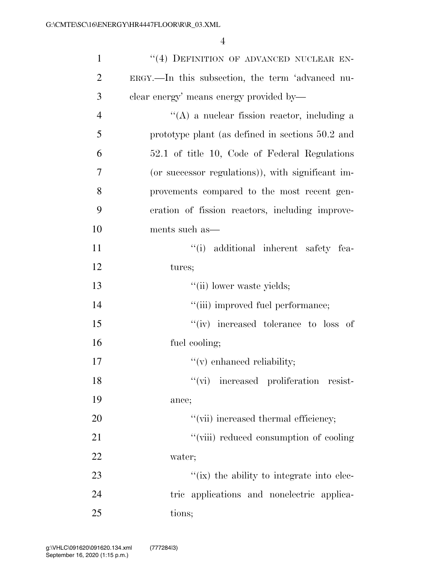| $\mathbf{1}$   | "(4) DEFINITION OF ADVANCED NUCLEAR EN-           |
|----------------|---------------------------------------------------|
| $\overline{2}$ | ERGY.—In this subsection, the term 'advanced nu-  |
| 3              | clear energy' means energy provided by—           |
| $\overline{4}$ | $\lq\lq$ a nuclear fission reactor, including a   |
| 5              | prototype plant (as defined in sections 50.2 and  |
| 6              | 52.1 of title 10, Code of Federal Regulations     |
| 7              | (or successor regulations)), with significant im- |
| 8              | provements compared to the most recent gen-       |
| 9              | eration of fission reactors, including improve-   |
| 10             | ments such as—                                    |
| 11             | "(i) additional inherent safety fea-              |
| 12             | tures;                                            |
| 13             | "(ii) lower waste yields;                         |
| 14             | "(iii) improved fuel performance;                 |
| 15             | "(iv) increased tolerance to loss of              |
| 16             | fuel cooling;                                     |
| 17             | $f'(v)$ enhanced reliability;                     |
| 18             | "(vi) increased proliferation resist-             |
| 19             | ance;                                             |
| 20             | "(vii) increased thermal efficiency;              |
| 21             | "(viii) reduced consumption of cooling            |
| 22             | water;                                            |
| 23             | "(ix) the ability to integrate into elec-         |
| 24             | tric applications and nonelectric applica-        |
| 25             | tions;                                            |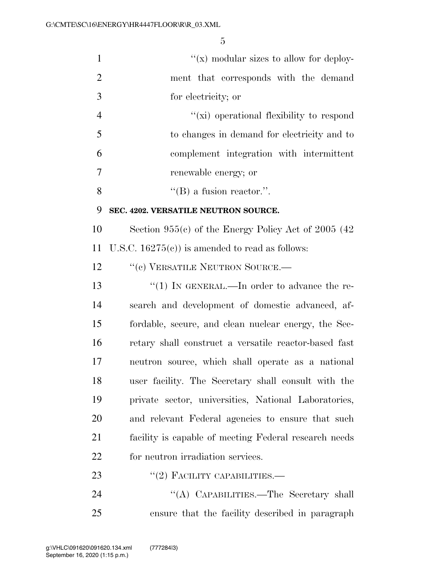| $\mathbf{1}$   | " $(x)$ modular sizes to allow for deploy-             |
|----------------|--------------------------------------------------------|
| $\overline{2}$ | ment that corresponds with the demand                  |
| 3              | for electricity; or                                    |
| $\overline{4}$ | "(xi) operational flexibility to respond               |
| 5              | to changes in demand for electricity and to            |
| 6              | complement integration with intermittent               |
| 7              | renewable energy; or                                   |
| 8              | $\lq\lq (B)$ a fusion reactor.".                       |
| 9              | SEC. 4202. VERSATILE NEUTRON SOURCE.                   |
| 10             | Section $955(c)$ of the Energy Policy Act of 2005 (42) |
| 11             | U.S.C. $16275(c)$ is amended to read as follows:       |
| 12             | "(c) VERSATILE NEUTRON SOURCE.—                        |
| 13             | "(1) IN GENERAL.—In order to advance the re-           |
| 14             | search and development of domestic advanced, af-       |
| 15             | fordable, secure, and clean nuclear energy, the Sec-   |
| 16             | retary shall construct a versatile reactor-based fast  |
| 17             | neutron source, which shall operate as a national      |
| 18             | user facility. The Secretary shall consult with the    |
| 19             | private sector, universities, National Laboratories,   |
| <b>20</b>      | and relevant Federal agencies to ensure that such      |
| 21             | facility is capable of meeting Federal research needs  |
| 22             | for neutron irradiation services.                      |
| 23             | $``(2)$ FACILITY CAPABILITIES.—                        |
| 24             |                                                        |

ensure that the facility described in paragraph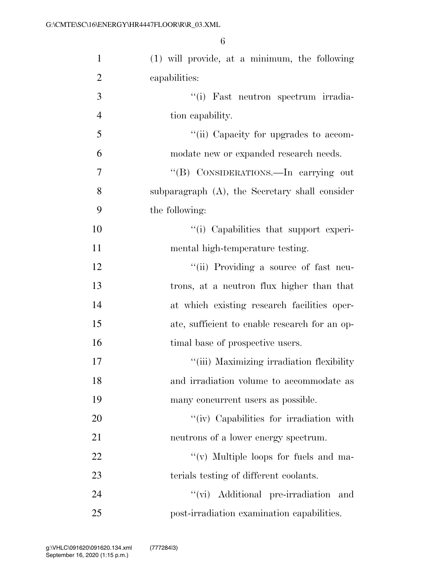| $\mathbf{1}$   | (1) will provide, at a minimum, the following  |
|----------------|------------------------------------------------|
| $\overline{2}$ | capabilities:                                  |
| 3              | "(i) Fast neutron spectrum irradia-            |
| $\overline{4}$ | tion capability.                               |
| 5              | "(ii) Capacity for upgrades to accom-          |
| 6              | modate new or expanded research needs.         |
| 7              | "(B) CONSIDERATIONS.—In carrying out           |
| 8              | subparagraph (A), the Secretary shall consider |
| 9              | the following:                                 |
| 10             | "(i) Capabilities that support experi-         |
| 11             | mental high-temperature testing.               |
| 12             | "(ii) Providing a source of fast neu-          |
| 13             | trons, at a neutron flux higher than that      |
| 14             | at which existing research facilities oper-    |
| 15             | ate, sufficient to enable research for an op-  |
| 16             | timal base of prospective users.               |
| 17             | "(iii) Maximizing irradiation flexibility      |
| 18             | and irradiation volume to accommodate as       |
| 19             | many concurrent users as possible.             |
| 20             | "(iv) Capabilities for irradiation with        |
| 21             | neutrons of a lower energy spectrum.           |
| 22             | $\lq\lq$ (v) Multiple loops for fuels and ma-  |
| 23             | terials testing of different coolants.         |
| 24             | "(vi) Additional pre-irradiation and           |
| 25             | post-irradiation examination capabilities.     |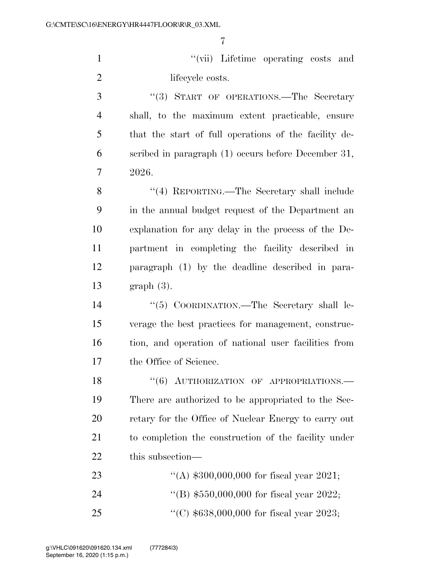''(vii) Lifetime operating costs and 2 lifecycle costs.

3 "(3) START OF OPERATIONS.—The Secretary shall, to the maximum extent practicable, ensure that the start of full operations of the facility de- scribed in paragraph (1) occurs before December 31, 2026.

8 "(4) REPORTING.—The Secretary shall include in the annual budget request of the Department an explanation for any delay in the process of the De- partment in completing the facility described in paragraph (1) by the deadline described in para-graph (3).

 ''(5) COORDINATION.—The Secretary shall le- verage the best practices for management, construc- tion, and operation of national user facilities from the Office of Science.

18 "(6) AUTHORIZATION OF APPROPRIATIONS. There are authorized to be appropriated to the Sec- retary for the Office of Nuclear Energy to carry out to completion the construction of the facility under this subsection—

| 23  | "(A) $$300,000,000$ for fiscal year 2021; |
|-----|-------------------------------------------|
| -24 | "(B) $$550,000,000$ for fiscal year 2022; |
| -25 | "(C) $$638,000,000$ for fiscal year 2023; |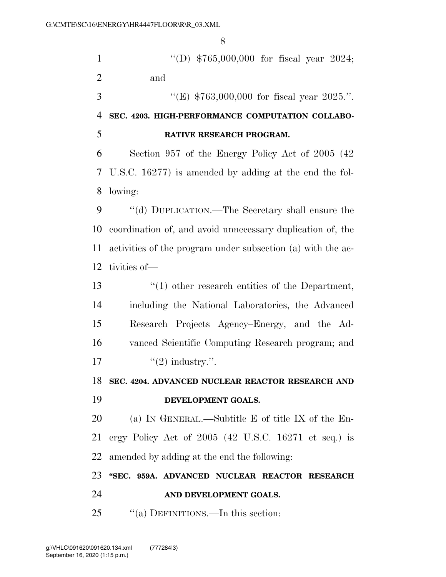''(D) \$765,000,000 for fiscal year 2024; and  $\text{``(E)} \$763,000,000 \text{ for fiscal year } 2025."$  **SEC. 4203. HIGH-PERFORMANCE COMPUTATION COLLABO- RATIVE RESEARCH PROGRAM.**  Section 957 of the Energy Policy Act of 2005 (42 U.S.C. 16277) is amended by adding at the end the fol- lowing: 9 "(d) DUPLICATION.—The Secretary shall ensure the coordination of, and avoid unnecessary duplication of, the activities of the program under subsection (a) with the ac- tivities of— ''(1) other research entities of the Department, including the National Laboratories, the Advanced Research Projects Agency–Energy, and the Ad- vanced Scientific Computing Research program; and  $\qquad \qquad$  "(2) industry.". **SEC. 4204. ADVANCED NUCLEAR REACTOR RESEARCH AND DEVELOPMENT GOALS.**  (a) IN GENERAL.—Subtitle E of title IX of the En- ergy Policy Act of 2005 (42 U.S.C. 16271 et seq.) is amended by adding at the end the following: **''SEC. 959A. ADVANCED NUCLEAR REACTOR RESEARCH AND DEVELOPMENT GOALS.**  25 "(a) DEFINITIONS.—In this section: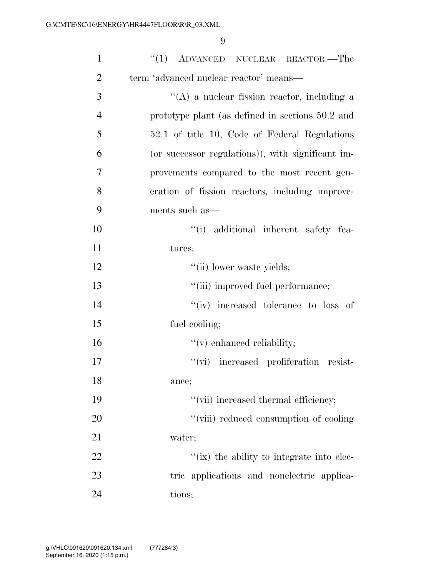| $\mathbf{1}$   | $(1)$ ADVANCED NUCLEAR REACTOR.—The               |
|----------------|---------------------------------------------------|
| $\overline{2}$ | term 'advanced nuclear reactor' means—            |
| 3              | $\lq\lq$ a nuclear fission reactor, including a   |
| $\overline{4}$ | prototype plant (as defined in sections 50.2 and  |
| 5              | 52.1 of title 10, Code of Federal Regulations     |
| 6              | (or successor regulations)), with significant im- |
| 7              | provements compared to the most recent gen-       |
| 8              | eration of fission reactors, including improve-   |
| 9              | ments such as—                                    |
| 10             | "(i) additional inherent safety fea-              |
| 11             | tures;                                            |
| 12             | "(ii) lower waste yields;                         |
| 13             | "(iii) improved fuel performance;                 |
| 14             | $``(iv)$ increased tolerance to loss of           |
| 15             | fuel cooling;                                     |
| 16             | $f'(v)$ enhanced reliability;                     |
| 17             | "(vi) increased proliferation resist-             |
| 18             | ance;                                             |
| 19             | "(vii) increased thermal efficiency;              |
| 20             | "(viii) reduced consumption of cooling            |
| 21             | water;                                            |
| 22             | "(ix) the ability to integrate into elec-         |
| 23             | tric applications and nonelectric applica-        |
| 24             | tions;                                            |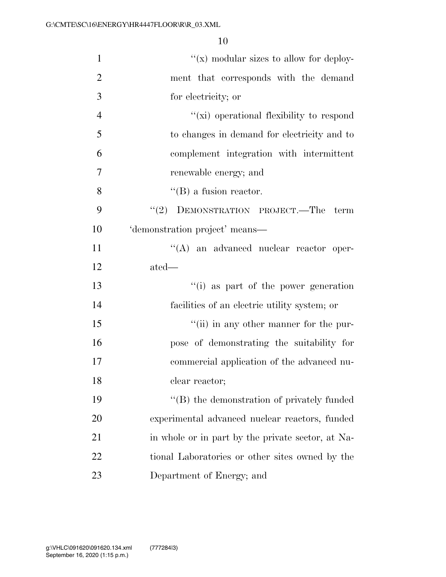| $\mathbf{1}$   | $f(x)$ modular sizes to allow for deploy-         |
|----------------|---------------------------------------------------|
| $\overline{2}$ | ment that corresponds with the demand             |
| 3              | for electricity; or                               |
| $\overline{4}$ | "(xi) operational flexibility to respond          |
| 5              | to changes in demand for electricity and to       |
| 6              | complement integration with intermittent          |
| $\overline{7}$ | renewable energy; and                             |
| 8              | $\lq\lq$ (B) a fusion reactor.                    |
| 9              | (2)<br>DEMONSTRATION PROJECT.—The term            |
| 10             | 'demonstration project' means—                    |
| 11             | "(A) an advanced nuclear reactor oper-            |
| 12             | ated—                                             |
| 13             | "(i) as part of the power generation              |
| 14             | facilities of an electric utility system; or      |
| 15             | "(ii) in any other manner for the pur-            |
| 16             | pose of demonstrating the suitability for         |
| 17             | commercial application of the advanced nu-        |
| 18             | clear reactor;                                    |
| 19             | "(B) the demonstration of privately funded        |
| <b>20</b>      | experimental advanced nuclear reactors, funded    |
| 21             | in whole or in part by the private sector, at Na- |
| 22             | tional Laboratories or other sites owned by the   |
| 23             | Department of Energy; and                         |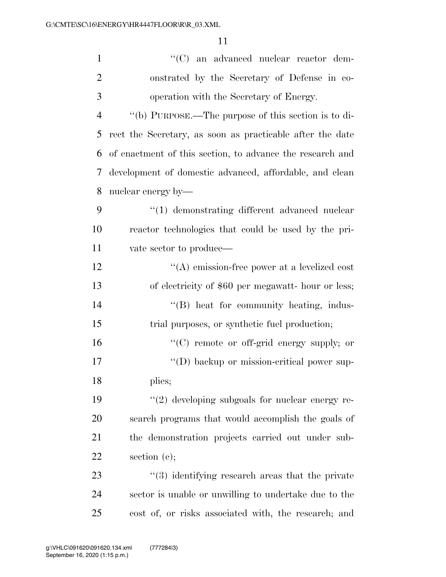| $\mathbf{1}$   | "(C) an advanced nuclear reactor dem-                     |
|----------------|-----------------------------------------------------------|
| $\overline{2}$ | onstrated by the Secretary of Defense in co-              |
| 3              | operation with the Secretary of Energy.                   |
| $\overline{4}$ | "(b) PURPOSE.—The purpose of this section is to di-       |
| 5              | rect the Secretary, as soon as practicable after the date |
| 6              | of enactment of this section, to advance the research and |
| 7              | development of domestic advanced, affordable, and clean   |
| 8              | nuclear energy by—                                        |
| 9              | "(1) demonstrating different advanced nuclear             |
| 10             | reactor technologies that could be used by the pri-       |
| 11             | vate sector to produce—                                   |
| 12             | $\lq\lq$ emission-free power at a levelized cost          |
| 13             | of electricity of \$60 per megawatt- hour or less;        |
| 14             | "(B) heat for community heating, indus-                   |
| 15             | trial purposes, or synthetic fuel production;             |
| 16             | $\lq\lq$ remote or off-grid energy supply; or             |
| 17             | "(D) backup or mission-critical power sup-                |
| 18             | plies;                                                    |
| 19             | $"(2)$ developing subgoals for nuclear energy re-         |
| 20             | search programs that would accomplish the goals of        |
| 21             | the demonstration projects carried out under sub-         |
| 22             | section $(e)$ ;                                           |
| 23             | "(3) identifying research areas that the private          |
| 24             | sector is unable or unwilling to undertake due to the     |
| 25             | cost of, or risks associated with, the research; and      |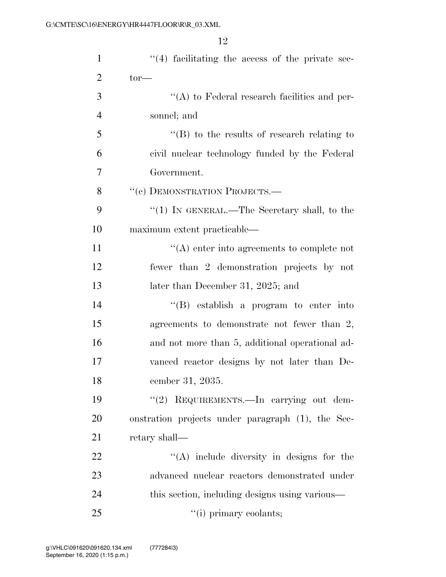| $\mathbf{1}$   | $\lq(4)$ facilitating the access of the private sec- |
|----------------|------------------------------------------------------|
| $\overline{2}$ | $tor$ —                                              |
| 3              | $\lq\lq$ to Federal research facilities and per-     |
| $\overline{4}$ | sonnel; and                                          |
| 5              | $\lq\lq (B)$ to the results of research relating to  |
| 6              | civil nuclear technology funded by the Federal       |
| 7              | Government.                                          |
| 8              | "(c) DEMONSTRATION PROJECTS.-                        |
| 9              | " $(1)$ In GENERAL.—The Secretary shall, to the      |
| 10             | maximum extent practicable—                          |
| 11             | $\lq\lq$ enter into agreements to complete not       |
| 12             | fewer than 2 demonstration projects by not           |
| 13             | later than December 31, 2025; and                    |
| 14             | $\lq\lq (B)$ establish a program to enter into       |
| 15             | agreements to demonstrate not fewer than 2,          |
| 16             | and not more than 5, additional operational ad-      |
| 17             | vanced reactor designs by not later than De-         |
| 18             | cember 31, 2035.                                     |
| 19             | "(2) REQUIREMENTS.—In carrying out dem-              |
| 20             | onstration projects under paragraph (1), the Sec-    |
| 21             | retary shall—                                        |
| 22             | $\lq\lq$ include diversity in designs for the        |
| 23             | advanced nuclear reactors demonstrated under         |
| 24             | this section, including designs using various—       |
| 25             | "(i) primary coolants;                               |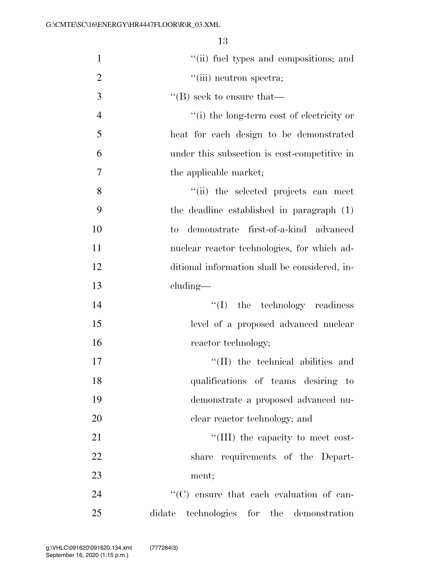| $\mathbf{1}$   | "(ii) fuel types and compositions; and        |
|----------------|-----------------------------------------------|
| $\overline{2}$ | "(iii) neutron spectra;                       |
| 3              | $\lq\lq (B)$ seek to ensure that—             |
| $\overline{4}$ | "(i) the long-term cost of electricity or     |
| 5              | heat for each design to be demonstrated       |
| 6              | under this subsection is cost-competitive in  |
| 7              | the applicable market;                        |
| 8              | "(ii) the selected projects can meet          |
| 9              | the deadline established in paragraph (1)     |
| 10             | to demonstrate first-of-a-kind advanced       |
| 11             | nuclear reactor technologies, for which ad-   |
| 12             | ditional information shall be considered, in- |
| 13             | cluding—                                      |
| 14             | $\lq\lq$ (I) the technology readiness         |
| 15             | level of a proposed advanced nuclear          |
| 16             | reactor technology;                           |
| 17             | "(II) the technical abilities and             |
| 18             | qualifications of teams desiring to           |
| 19             | demonstrate a proposed advanced nu-           |
| 20             | clear reactor technology; and                 |
| 21             | "(III) the capacity to meet cost-             |
| 22             | share requirements of the Depart-             |
| 23             | ment;                                         |
| 24             | "(C) ensure that each evaluation of can-      |
| 25             | technologies for the demonstration<br>didate  |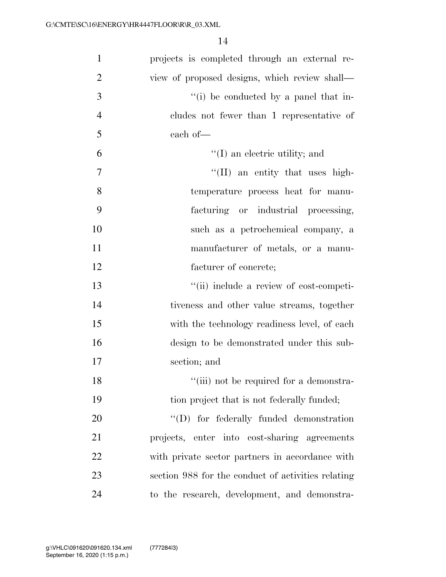| $\mathbf{1}$   | projects is completed through an external re-      |
|----------------|----------------------------------------------------|
| $\overline{2}$ | view of proposed designs, which review shall-      |
| 3              | "(i) be conducted by a panel that in-              |
| $\overline{4}$ | cludes not fewer than 1 representative of          |
| 5              | each of-                                           |
| 6              | $\lq\lq$ (I) an electric utility; and              |
| $\overline{7}$ | "(II) an entity that uses high-                    |
| 8              | temperature process heat for manu-                 |
| 9              | facturing or industrial processing,                |
| 10             | such as a petrochemical company, a                 |
| 11             | manufacturer of metals, or a manu-                 |
| 12             | facturer of concrete;                              |
| 13             | "(ii) include a review of cost-competi-            |
| 14             | tiveness and other value streams, together         |
| 15             | with the technology readiness level, of each       |
| 16             | design to be demonstrated under this sub-          |
| 17             | section; and                                       |
| 18             | "(iii) not be required for a demonstra-            |
| 19             | tion project that is not federally funded;         |
| 20             | $\lq\lq$ for federally funded demonstration        |
| 21             | projects, enter into cost-sharing agreements       |
| <u>22</u>      | with private sector partners in accordance with    |
| 23             | section 988 for the conduct of activities relating |
| 24             | to the research, development, and demonstra-       |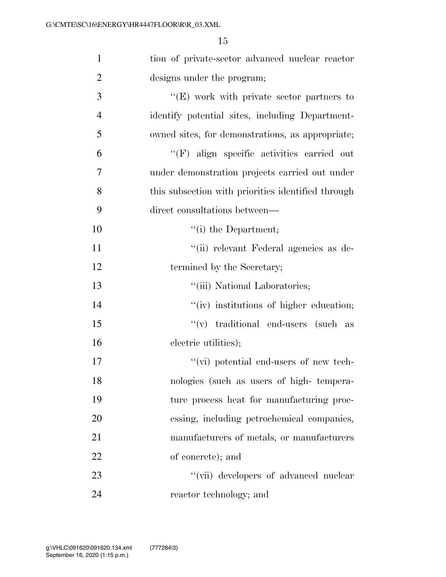| $\mathbf{1}$   | tion of private-sector advanced nuclear reactor    |
|----------------|----------------------------------------------------|
| $\overline{2}$ | designs under the program;                         |
| 3              | $\lq\lq(E)$ work with private sector partners to   |
| $\overline{4}$ | identify potential sites, including Department-    |
| 5              | owned sites, for demonstrations, as appropriate;   |
| 6              | "(F) align specific activities carried out         |
| 7              | under demonstration projects carried out under     |
| 8              | this subsection with priorities identified through |
| 9              | direct consultations between—                      |
| 10             | $``(i)$ the Department;                            |
| 11             | "(ii) relevant Federal agencies as de-             |
| 12             | termined by the Secretary;                         |
| 13             | "(iii) National Laboratories;                      |
| 14             | "(iv) institutions of higher education;            |
| 15             | $\lq\lq$ (v) traditional end-users (such as        |
| 16             | electric utilities);                               |
| 17             | $\lq\lq$ (vi) potential end-users of new tech-     |
| 18             | nologies (such as users of high-tempera-           |
| 19             | ture process heat for manufacturing proc-          |
| 20             | essing, including petrochemical companies,         |
| 21             | manufacturers of metals, or manufacturers          |
| 22             | of concrete); and                                  |
| 23             | "(vii) developers of advanced nuclear              |
| 24             | reactor technology; and                            |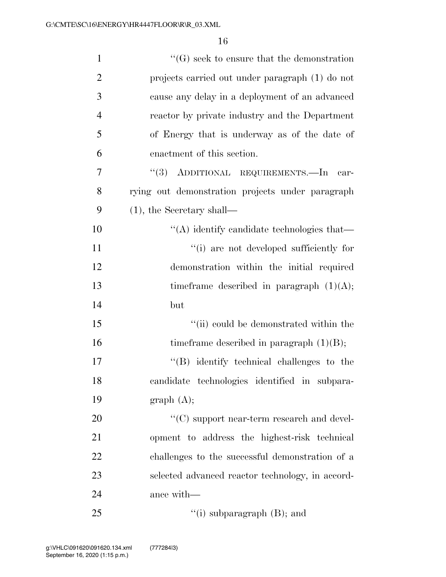| $\mathbf{1}$   | $\lq\lq(G)$ seek to ensure that the demonstration |
|----------------|---------------------------------------------------|
| $\overline{2}$ | projects carried out under paragraph (1) do not   |
| 3              | cause any delay in a deployment of an advanced    |
| $\overline{4}$ | reactor by private industry and the Department    |
| 5              | of Energy that is underway as of the date of      |
| 6              | enactment of this section.                        |
| 7              | "(3) ADDITIONAL REQUIREMENTS.—In car-             |
| 8              | rying out demonstration projects under paragraph  |
| 9              | $(1)$ , the Secretary shall—                      |
| 10             | "(A) identify candidate technologies that—        |
| 11             | "(i) are not developed sufficiently for           |
| 12             | demonstration within the initial required         |
| 13             | time frame described in paragraph $(1)(A)$ ;      |
| 14             | but                                               |
| 15             | "(ii) could be demonstrated within the            |
| 16             | time frame described in paragraph $(1)(B)$ ;      |
| 17             | $\lq\lq$ identify technical challenges to the     |
| 18             | candidate technologies identified in subpara-     |
| 19             | graph (A);                                        |
| 20             | $\lq\lq$ support near-term research and devel-    |
| 21             | opment to address the highest-risk technical      |
| 22             | challenges to the successful demonstration of a   |
| 23             | selected advanced reactor technology, in accord-  |
| 24             | ance with—                                        |
| 25             | "(i) subparagraph $(B)$ ; and                     |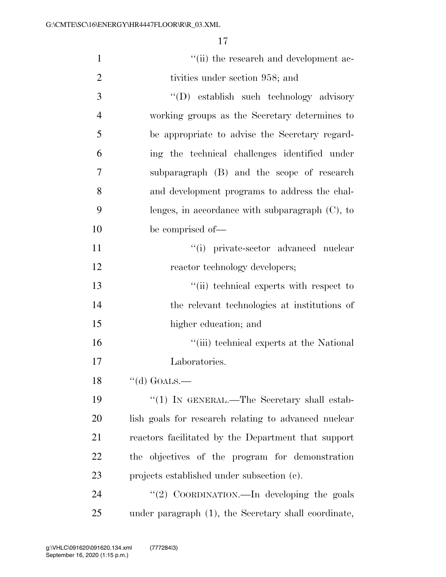| $\mathbf{1}$   | "(ii) the research and development ac-               |
|----------------|------------------------------------------------------|
| $\overline{2}$ | tivities under section 958; and                      |
| 3              | "(D) establish such technology advisory              |
| $\overline{4}$ | working groups as the Secretary determines to        |
| 5              | be appropriate to advise the Secretary regard-       |
| 6              | ing the technical challenges identified under        |
| 7              | subparagraph (B) and the scope of research           |
| 8              | and development programs to address the chal-        |
| 9              | lenges, in accordance with subparagraph $(C)$ , to   |
| 10             | be comprised of—                                     |
| 11             | "(i) private-sector advanced nuclear                 |
| 12             | reactor technology developers;                       |
| 13             | "(ii) technical experts with respect to              |
| 14             | the relevant technologies at institutions of         |
| 15             | higher education; and                                |
| 16             | "(iii) technical experts at the National             |
| 17             | Laboratories.                                        |
| 18             | $``$ (d) GOALS.—                                     |
| 19             | "(1) IN GENERAL.—The Secretary shall estab-          |
| 20             | lish goals for research relating to advanced nuclear |
| 21             | reactors facilitated by the Department that support  |
| 22             | the objectives of the program for demonstration      |
| 23             | projects established under subsection (c).           |
| 24             | "(2) COORDINATION.—In developing the goals           |
| 25             | under paragraph (1), the Secretary shall coordinate, |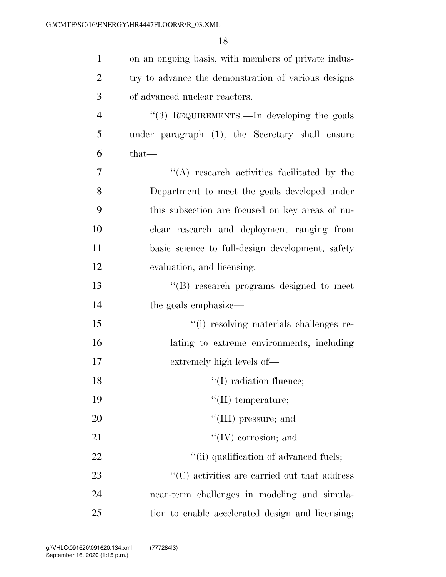| $\mathbf{1}$   | on an ongoing basis, with members of private indus- |
|----------------|-----------------------------------------------------|
| 2              | try to advance the demonstration of various designs |
| 3              | of advanced nuclear reactors.                       |
| $\overline{4}$ | "(3) REQUIREMENTS.—In developing the goals          |
| 5              | under paragraph (1), the Secretary shall ensure     |
| 6              | $that-$                                             |
| 7              | "(A) research activities facilitated by the         |
| 8              | Department to meet the goals developed under        |
| 9              | this subsection are focused on key areas of nu-     |
| 10             | clear research and deployment ranging from          |
| 11             | basic science to full-design development, safety    |
| 12             | evaluation, and licensing;                          |
| 13             | "(B) research programs designed to meet             |
| 14             | the goals emphasize—                                |
| 15             | "(i) resolving materials challenges re-             |
| 16             | lating to extreme environments, including           |
| 17             | extremely high levels of—                           |
| 18             | $\lq(1)$ radiation fluence;                         |
| 19             | $\lq\lq$ (II) temperature;                          |
| 20             | "(III) pressure; and                                |
| 21             | $\lq\lq (IV)$ corrosion; and                        |
| 22             | "(ii) qualification of advanced fuels;              |
| 23             | "(C) activities are carried out that address        |
| 24             | near-term challenges in modeling and simula-        |
| 25             | tion to enable accelerated design and licensing;    |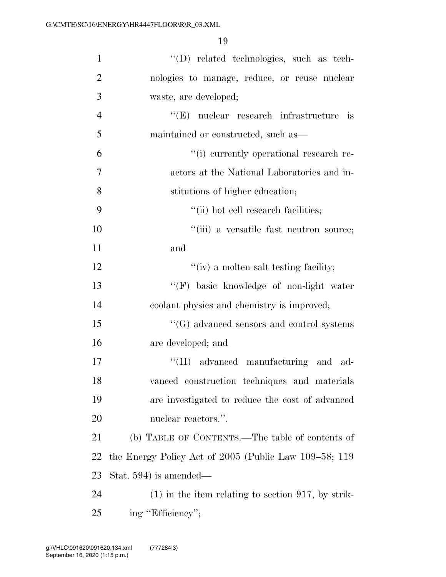| $\mathbf{1}$   | "(D) related technologies, such as tech-              |
|----------------|-------------------------------------------------------|
| $\overline{2}$ | nologies to manage, reduce, or reuse nuclear          |
| 3              | waste, are developed;                                 |
| $\overline{4}$ | $\lq\lq(E)$ nuclear research infrastructure is        |
| 5              | maintained or constructed, such as—                   |
| 6              | "(i) currently operational research re-               |
| 7              | actors at the National Laboratories and in-           |
| 8              | stitutions of higher education;                       |
| 9              | "(ii) hot cell research facilities;                   |
| 10             | "(iii) a versatile fast neutron source;               |
| 11             | and                                                   |
| 12             | "(iv) a molten salt testing facility;                 |
| 13             | "(F) basic knowledge of non-light water               |
| 14             | coolant physics and chemistry is improved;            |
| 15             | $\lq\lq(G)$ advanced sensors and control systems      |
| 16             | are developed; and                                    |
| 17             | "(H) advanced manufacturing and ad-                   |
| 18             | vanced construction techniques and materials          |
| 19             | are investigated to reduce the cost of advanced       |
| 20             | nuclear reactors.".                                   |
| 21             | (b) TABLE OF CONTENTS.—The table of contents of       |
| 22             | the Energy Policy Act of 2005 (Public Law 109–58; 119 |
| 23             | Stat. $594$ ) is amended—                             |
| 24             | $(1)$ in the item relating to section 917, by strik-  |
| 25             | ing "Efficiency";                                     |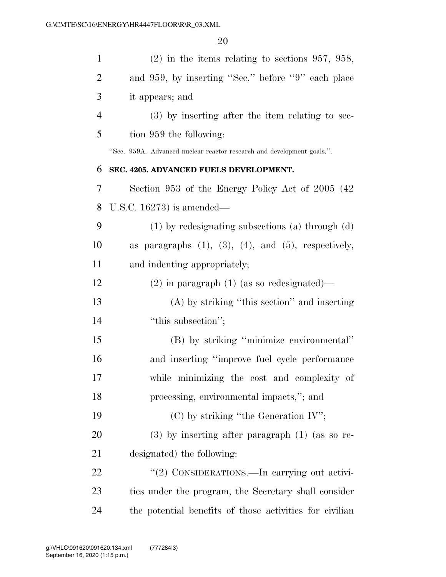| $\mathbf{1}$   | $(2)$ in the items relating to sections 957, 958,                      |
|----------------|------------------------------------------------------------------------|
| $\overline{2}$ | and 959, by inserting "Sec." before "9" each place                     |
| 3              | it appears; and                                                        |
| $\overline{4}$ | (3) by inserting after the item relating to sec-                       |
| 5              | tion 959 the following:                                                |
|                | "Sec. 959A. Advanced nuclear reactor research and development goals.". |
| 6              | SEC. 4205. ADVANCED FUELS DEVELOPMENT.                                 |
| 7              | Section 953 of the Energy Policy Act of 2005 (42)                      |
| 8              | U.S.C. $16273$ ) is amended—                                           |
| 9              | $(1)$ by redesignating subsections (a) through $(d)$                   |
| 10             | as paragraphs $(1)$ , $(3)$ , $(4)$ , and $(5)$ , respectively,        |
| 11             | and indenting appropriately;                                           |
| 12             | $(2)$ in paragraph $(1)$ (as so redesignated)—                         |
| 13             | (A) by striking "this section" and inserting                           |
| 14             | "this subsection";                                                     |
| 15             | (B) by striking "minimize environmental"                               |
| 16             | and inserting "improve fuel cycle performance"                         |
| 17             | while minimizing the cost and complexity of                            |
| 18             | processing, environmental impacts,"; and                               |
| 19             | $(C)$ by striking "the Generation IV";                                 |
| <b>20</b>      | $(3)$ by inserting after paragraph $(1)$ (as so re-                    |
| 21             | designated) the following:                                             |
| 22             | "(2) CONSIDERATIONS.—In carrying out activi-                           |
| 23             | ties under the program, the Secretary shall consider                   |
| 24             | the potential benefits of those activities for civilian                |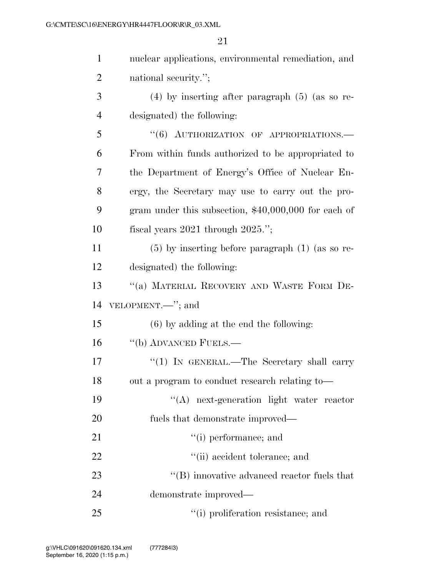| $\mathbf{1}$   | nuclear applications, environmental remediation, and  |
|----------------|-------------------------------------------------------|
| $\overline{2}$ | national security.";                                  |
| 3              | $(4)$ by inserting after paragraph $(5)$ (as so re-   |
| $\overline{4}$ | designated) the following:                            |
| 5              | "(6) AUTHORIZATION OF APPROPRIATIONS.-                |
| 6              | From within funds authorized to be appropriated to    |
| 7              | the Department of Energy's Office of Nuclear En-      |
| 8              | ergy, the Secretary may use to carry out the pro-     |
| 9              | gram under this subsection, $$40,000,000$ for each of |
| 10             | fiscal years $2021$ through $2025$ .";                |
| 11             | $(5)$ by inserting before paragraph $(1)$ (as so re-  |
| 12             | designated) the following:                            |
| 13             | "(a) MATERIAL RECOVERY AND WASTE FORM DE-             |
| 14             | VELOPMENT.—"; and                                     |
| 15             | $(6)$ by adding at the end the following:             |
| 16             | "(b) ADVANCED FUELS.—                                 |
| 17             | "(1) IN GENERAL.—The Secretary shall carry            |
| 18             | out a program to conduct research relating to-        |
| 19             | "(A) next-generation light water reactor              |
| 20             | fuels that demonstrate improved—                      |
| 21             | "(i) performance; and                                 |
| 22             | "(ii) accident tolerance; and                         |
| 23             | $\lq\lq$ (B) innovative advanced reactor fuels that   |
| 24             | demonstrate improved—                                 |
| 25             | "(i) proliferation resistance; and                    |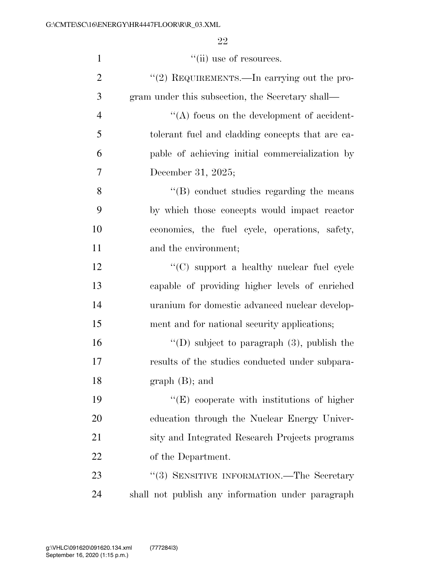| $\mathbf{1}$   | $``$ (ii) use of resources.                       |
|----------------|---------------------------------------------------|
| $\overline{2}$ | "(2) REQUIREMENTS.—In carrying out the pro-       |
| 3              | gram under this subsection, the Secretary shall—  |
| $\overline{4}$ | $\lq\lq$ focus on the development of accident-    |
| 5              | tolerant fuel and cladding concepts that are ca-  |
| 6              | pable of achieving initial commercialization by   |
| 7              | December 31, 2025;                                |
| 8              | "(B) conduct studies regarding the means          |
| 9              | by which those concepts would impact reactor      |
| 10             | economics, the fuel cycle, operations, safety,    |
| 11             | and the environment;                              |
| 12             | "(C) support a healthy nuclear fuel cycle         |
| 13             | capable of providing higher levels of enriched    |
| 14             | uranium for domestic advanced nuclear develop-    |
| 15             | ment and for national security applications;      |
| 16             | "(D) subject to paragraph $(3)$ , publish the     |
| 17             | results of the studies conducted under subpara-   |
| 18             | $graph(B);$ and                                   |
| 19             | $\lq\lq$ cooperate with institutions of higher    |
| 20             | education through the Nuclear Energy Univer-      |
| 21             | sity and Integrated Research Projects programs    |
| 22             | of the Department.                                |
| 23             | "(3) SENSITIVE INFORMATION.—The Secretary         |
| 24             | shall not publish any information under paragraph |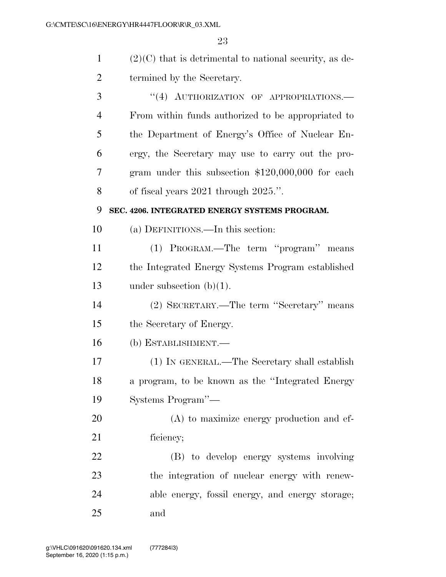| $\mathbf{1}$   | $(2)(C)$ that is detrimental to national security, as de- |
|----------------|-----------------------------------------------------------|
| $\overline{2}$ | termined by the Secretary.                                |
| 3              | "(4) AUTHORIZATION OF APPROPRIATIONS.-                    |
| 4              | From within funds authorized to be appropriated to        |
| 5              | the Department of Energy's Office of Nuclear En-          |
| 6              | ergy, the Secretary may use to carry out the pro-         |
| 7              | gram under this subsection $$120,000,000$ for each        |
| 8              | of fiscal years $2021$ through $2025$ .".                 |
| 9              | SEC. 4206. INTEGRATED ENERGY SYSTEMS PROGRAM.             |
| 10             | (a) DEFINITIONS.—In this section:                         |
| 11             | (1) PROGRAM.—The term "program" means                     |
| 12             | the Integrated Energy Systems Program established         |
| 13             | under subsection $(b)(1)$ .                               |
| 14             | (2) SECRETARY.—The term "Secretary" means                 |
| 15             | the Secretary of Energy.                                  |
| 16             | (b) ESTABLISHMENT.-                                       |
| 17             | (1) IN GENERAL.—The Secretary shall establish             |
| 18             | a program, to be known as the "Integrated Energy          |
| 19             | Systems Program"-                                         |
| 20             | $(A)$ to maximize energy production and ef-               |
| 21             | ficiency;                                                 |
| 22             | (B) to develop energy systems involving                   |
| 23             | the integration of nuclear energy with renew-             |

 able energy, fossil energy, and energy storage; and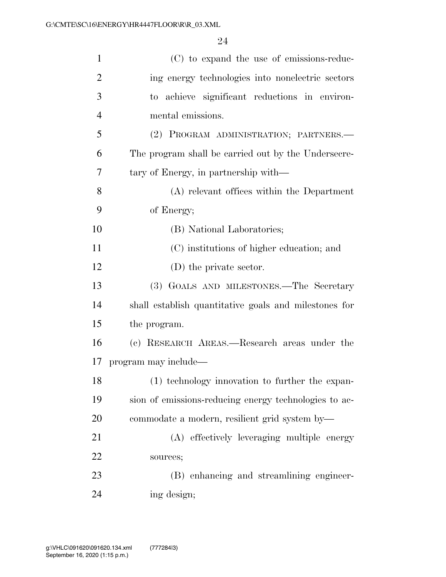| $\mathbf{1}$   | (C) to expand the use of emissions-reduc-             |
|----------------|-------------------------------------------------------|
| $\overline{2}$ | ing energy technologies into nonelectric sectors      |
| 3              | to achieve significant reductions in environ-         |
| $\overline{4}$ | mental emissions.                                     |
| 5              | (2) PROGRAM ADMINISTRATION; PARTNERS.—                |
| 6              | The program shall be carried out by the Undersecre-   |
| 7              | tary of Energy, in partnership with—                  |
| 8              | (A) relevant offices within the Department            |
| 9              | of Energy;                                            |
| 10             | (B) National Laboratories;                            |
| 11             | (C) institutions of higher education; and             |
| 12             | $(D)$ the private sector.                             |
| 13             | (3) GOALS AND MILESTONES.-The Secretary               |
| 14             | shall establish quantitative goals and milestones for |
| 15             | the program.                                          |
| 16             | (c) RESEARCH AREAS.—Research areas under the          |
| 17             | program may include—                                  |
| 18             | (1) technology innovation to further the expan-       |
| 19             | sion of emissions-reducing energy technologies to ac- |
| 20             | commodate a modern, resilient grid system by—         |
| 21             | (A) effectively leveraging multiple energy            |
| 22             | sources;                                              |
| 23             | (B) enhancing and streamlining engineer-              |
| 24             | ing design;                                           |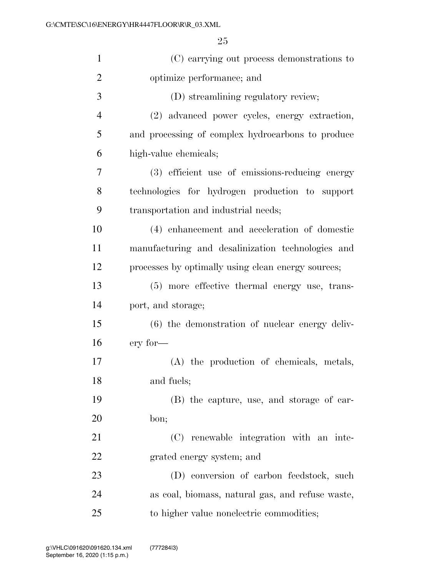| $\mathbf{1}$   | (C) carrying out process demonstrations to         |
|----------------|----------------------------------------------------|
| $\overline{2}$ | optimize performance; and                          |
| 3              | (D) streamlining regulatory review;                |
| $\overline{4}$ | (2) advanced power cycles, energy extraction,      |
| 5              | and processing of complex hydrocarbons to produce  |
| 6              | high-value chemicals;                              |
| 7              | (3) efficient use of emissions-reducing energy     |
| 8              | technologies for hydrogen production to support    |
| 9              | transportation and industrial needs;               |
| 10             | (4) enhancement and acceleration of domestic       |
| 11             | manufacturing and desalinization technologies and  |
| 12             | processes by optimally using clean energy sources; |
| 13             | (5) more effective thermal energy use, trans-      |
| 14             | port, and storage;                                 |
| 15             | $(6)$ the demonstration of nuclear energy deliv-   |
| 16             | ery for-                                           |
| 17             | (A) the production of chemicals, metals,           |
| 18             | and fuels;                                         |
| 19             | (B) the capture, use, and storage of car-          |
| 20             | bon;                                               |
| 21             | (C) renewable integration with an inte-            |
| 22             | grated energy system; and                          |
| 23             | (D) conversion of carbon feedstock, such           |
| 24             | as coal, biomass, natural gas, and refuse waste,   |
| 25             | to higher value nonelectric commodities;           |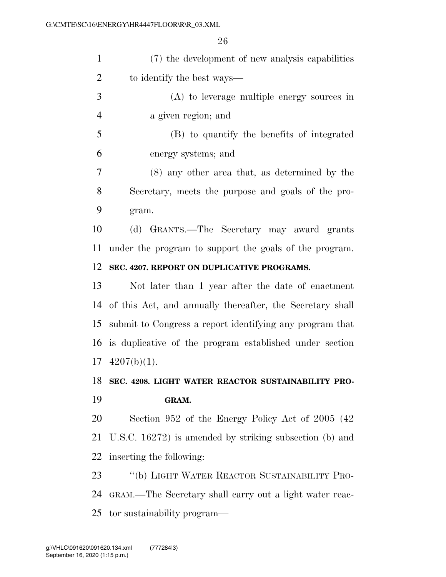| (7) the development of new analysis capabilities |
|--------------------------------------------------|
| to identify the best ways—                       |

- (A) to leverage multiple energy sources in a given region; and
- (B) to quantify the benefits of integrated energy systems; and

 (8) any other area that, as determined by the Secretary, meets the purpose and goals of the pro-gram.

 (d) GRANTS.—The Secretary may award grants under the program to support the goals of the program.

#### **SEC. 4207. REPORT ON DUPLICATIVE PROGRAMS.**

 Not later than 1 year after the date of enactment of this Act, and annually thereafter, the Secretary shall submit to Congress a report identifying any program that is duplicative of the program established under section  $17 \quad 4207(b)(1)$ .

### **SEC. 4208. LIGHT WATER REACTOR SUSTAINABILITY PRO-GRAM.**

 Section 952 of the Energy Policy Act of 2005 (42 U.S.C. 16272) is amended by striking subsection (b) and inserting the following:

 ''(b) LIGHT WATER REACTOR SUSTAINABILITY PRO- GRAM.—The Secretary shall carry out a light water reac-tor sustainability program—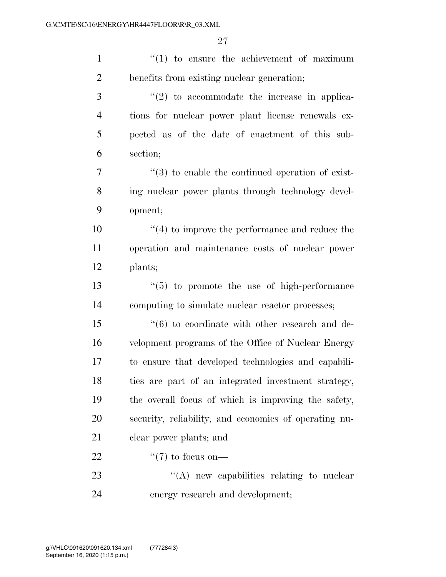| $\mathbf{1}$   | $f(1)$ to ensure the achievement of maximum                      |
|----------------|------------------------------------------------------------------|
| $\overline{2}$ | benefits from existing nuclear generation;                       |
| 3              | $\lq(2)$ to accommodate the increase in applica-                 |
| $\overline{4}$ | tions for nuclear power plant license renewals ex-               |
| 5              | pected as of the date of enactment of this sub-                  |
| 6              | section;                                                         |
| $\overline{7}$ | $\cdot\cdot\cdot(3)$ to enable the continued operation of exist- |
| 8              | ing nuclear power plants through technology devel-               |
| 9              | opment;                                                          |
| 10             | $\lq(4)$ to improve the performance and reduce the               |
| 11             | operation and maintenance costs of nuclear power                 |
| 12             | plants;                                                          |
| 13             | $\lq(5)$ to promote the use of high-performance                  |
| 14             | computing to simulate nuclear reactor processes;                 |
| 15             | $(6)$ to coordinate with other research and de-                  |
| 16             | velopment programs of the Office of Nuclear Energy               |
| 17             | to ensure that developed technologies and capabili-              |
| 18             | ties are part of an integrated investment strategy,              |
| 19             | the overall focus of which is improving the safety,              |
| 20             | security, reliability, and economics of operating nu-            |
| 21             | clear power plants; and                                          |
| 22             | $\lq(7)$ to focus on—                                            |
| 23             | $\lq\lq$ new capabilities relating to nuclear                    |
| 24             | energy research and development;                                 |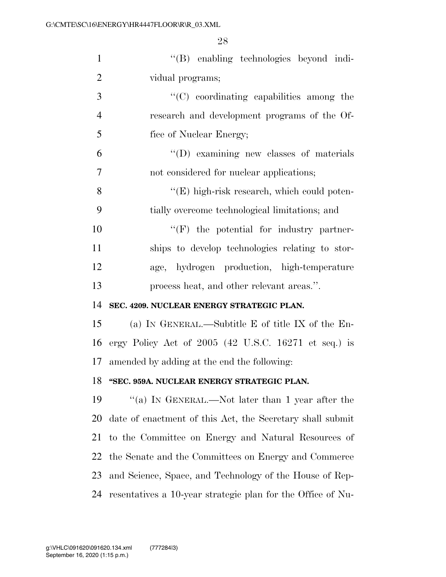| $\mathbf{1}$   | "(B) enabling technologies beyond indi-                   |
|----------------|-----------------------------------------------------------|
| $\overline{2}$ | vidual programs;                                          |
| 3              | $\lq\lq$ coordinating capabilities among the              |
| $\overline{4}$ | research and development programs of the Of-              |
| 5              | fice of Nuclear Energy;                                   |
| 6              | $\lq\lq$ (D) examining new classes of materials           |
| 7              | not considered for nuclear applications;                  |
| 8              | "(E) high-risk research, which could poten-               |
| 9              | tially overcome technological limitations; and            |
| 10             | $``(F)$ the potential for industry partner-               |
| 11             | ships to develop technologies relating to stor-           |
| 12             | age, hydrogen production, high-temperature                |
| 13             | process heat, and other relevant areas.".                 |
| 14             | SEC. 4209. NUCLEAR ENERGY STRATEGIC PLAN.                 |
| 15             | (a) IN GENERAL.—Subtitle E of title IX of the En-         |
| 16             | ergy Policy Act of $2005$ (42 U.S.C. 16271 et seq.) is    |
| 17             | amended by adding at the end the following:               |
| 18             | "SEC. 959A. NUCLEAR ENERGY STRATEGIC PLAN.                |
| 19             | "(a) IN GENERAL.—Not later than 1 year after the          |
| 20             | date of enactment of this Act, the Secretary shall submit |
| 21             | to the Committee on Energy and Natural Resources of       |
| 22             | the Senate and the Committees on Energy and Commerce      |
| 23             | and Science, Space, and Technology of the House of Rep-   |
|                |                                                           |